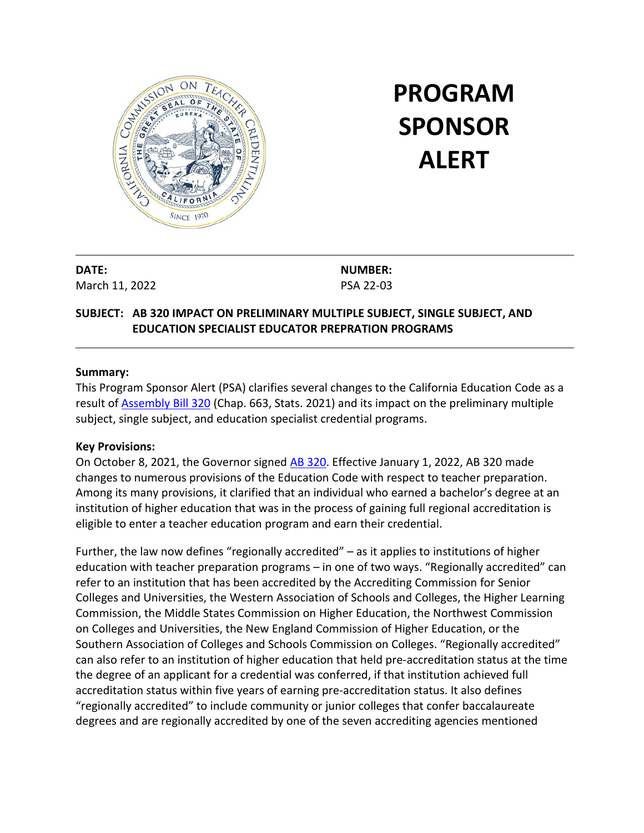

# **PROGRAM SPONSOR ALERT**

**DATE:**  March 11, 2022 **NUMBER:** PSA 22-03

## **SUBJECT: AB 320 IMPACT ON PRELIMINARY MULTIPLE SUBJECT, SINGLE SUBJECT, AND EDUCATION SPECIALIST EDUCATOR PREPRATION PROGRAMS**

## **Summary:**

This Program Sponsor Alert (PSA) clarifies several changes to the California Education Code as a result of [Assembly Bill](https://leginfo.legislature.ca.gov/faces/billTextClient.xhtml?bill_id=202120220AB320) 320 (Chap. 663, Stats. 2021) and its impact on the preliminary multiple subject, single subject, and education specialist credential programs.

## **Key Provisions:**

On October 8, 2021, the Governor signed **AB 320**. Effective January 1, 2022, AB 320 made changes to numerous provisions of the Education Code with respect to teacher preparation. Among its many provisions, it clarified that an individual who earned a bachelor's degree at an institution of higher education that was in the process of gaining full regional accreditation is eligible to enter a teacher education program and earn their credential.

Further, the law now defines "regionally accredited" – as it applies to institutions of higher education with teacher preparation programs – in one of two ways. "Regionally accredited" can refer to an institution that has been accredited by the Accrediting Commission for Senior Colleges and Universities, the Western Association of Schools and Colleges, the Higher Learning Commission, the Middle States Commission on Higher Education, the Northwest Commission on Colleges and Universities, the New England Commission of Higher Education, or the Southern Association of Colleges and Schools Commission on Colleges. "Regionally accredited" can also refer to an institution of higher education that held pre-accreditation status at the time the degree of an applicant for a credential was conferred, if that institution achieved full accreditation status within five years of earning pre-accreditation status. It also defines "regionally accredited" to include community or junior colleges that confer baccalaureate degrees and are regionally accredited by one of the seven accrediting agencies mentioned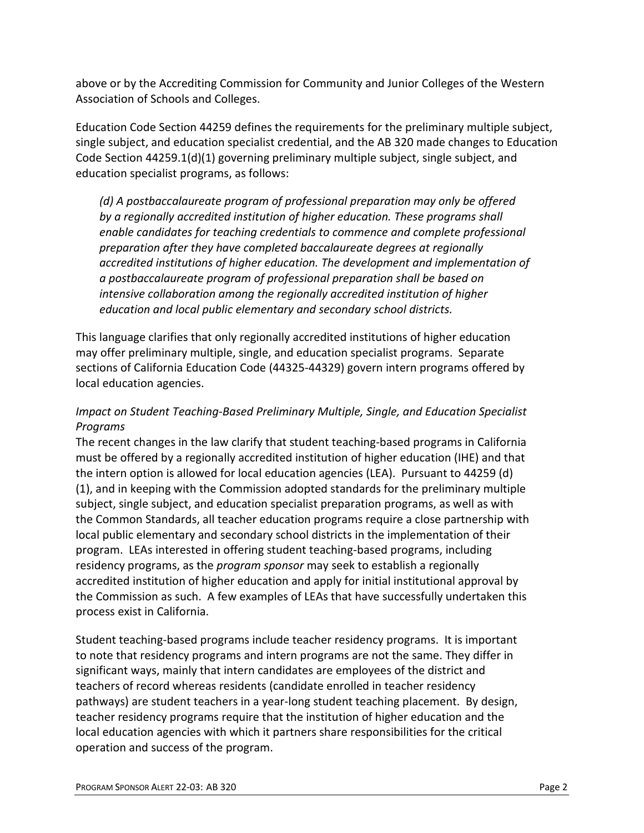above or by the Accrediting Commission for Community and Junior Colleges of the Western Association of Schools and Colleges.

Education Code Section 44259 defines the requirements for the preliminary multiple subject, single subject, and education specialist credential, and the AB 320 made changes to Education Code Section 44259.1(d)(1) governing preliminary multiple subject, single subject, and education specialist programs, as follows:

*(d) A postbaccalaureate program of professional preparation may only be offered by a regionally accredited institution of higher education. These programs shall enable candidates for teaching credentials to commence and complete professional preparation after they have completed baccalaureate degrees at regionally accredited institutions of higher education. The development and implementation of a postbaccalaureate program of professional preparation shall be based on intensive collaboration among the regionally accredited institution of higher education and local public elementary and secondary school districts.*

This language clarifies that only regionally accredited institutions of higher education may offer preliminary multiple, single, and education specialist programs. Separate sections of California Education Code (44325-44329) govern intern programs offered by local education agencies.

## *Impact on Student Teaching-Based Preliminary Multiple, Single, and Education Specialist Programs*

The recent changes in the law clarify that student teaching-based programs in California must be offered by a regionally accredited institution of higher education (IHE) and that the intern option is allowed for local education agencies (LEA). Pursuant to 44259 (d) (1), and in keeping with the Commission adopted standards for the preliminary multiple subject, single subject, and education specialist preparation programs, as well as with the Common Standards, all teacher education programs require a close partnership with local public elementary and secondary school districts in the implementation of their program. LEAs interested in offering student teaching-based programs, including residency programs, as the *program sponsor* may seek to establish a regionally accredited institution of higher education and apply for initial institutional approval by the Commission as such. A few examples of LEAs that have successfully undertaken this process exist in California.

Student teaching-based programs include teacher residency programs. It is important to note that residency programs and intern programs are not the same. They differ in significant ways, mainly that intern candidates are employees of the district and teachers of record whereas residents (candidate enrolled in teacher residency pathways) are student teachers in a year-long student teaching placement. By design, teacher residency programs require that the institution of higher education and the local education agencies with which it partners share responsibilities for the critical operation and success of the program.